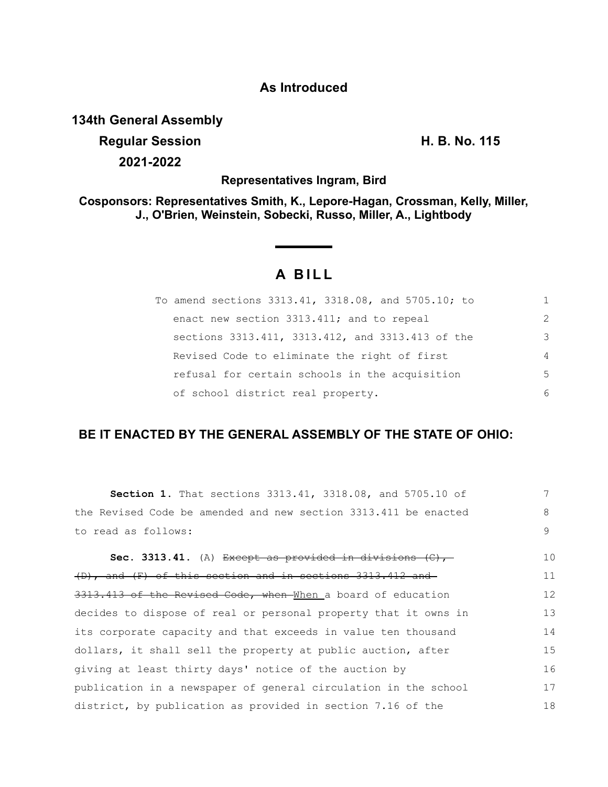### **As Introduced**

**134th General Assembly**

**Regular Session H. B. No. 115 2021-2022**

**Representatives Ingram, Bird**

**Cosponsors: Representatives Smith, K., Lepore-Hagan, Crossman, Kelly, Miller, J., O'Brien, Weinstein, Sobecki, Russo, Miller, A., Lightbody**

# **A BILL**

| To amend sections 3313.41, 3318.08, and 5705.10; to |               |
|-----------------------------------------------------|---------------|
| enact new section 3313.411; and to repeal           | $\mathcal{D}$ |
| sections 3313.411, 3313.412, and 3313.413 of the    | 3             |
| Revised Code to eliminate the right of first        | 4             |
| refusal for certain schools in the acquisition      | 5             |
| of school district real property.                   | 6             |

## **BE IT ENACTED BY THE GENERAL ASSEMBLY OF THE STATE OF OHIO:**

| <b>Section 1.</b> That sections 3313.41, 3318.08, and 5705.10 of          | 7  |
|---------------------------------------------------------------------------|----|
| the Revised Code be amended and new section 3313.411 be enacted           | 8  |
| to read as follows:                                                       | 9  |
| <b>Sec. 3313.41.</b> (A) Except as provided in divisions $(\mathbb{C})$ , | 10 |
| (D), and (F) of this section and in sections 3313.412 and                 | 11 |
| 3313.413 of the Revised Code, when When a board of education              | 12 |
| decides to dispose of real or personal property that it owns in           | 13 |
| its corporate capacity and that exceeds in value ten thousand             | 14 |
| dollars, it shall sell the property at public auction, after              | 15 |
| giving at least thirty days' notice of the auction by                     | 16 |
| publication in a newspaper of general circulation in the school           | 17 |
| district, by publication as provided in section 7.16 of the               | 18 |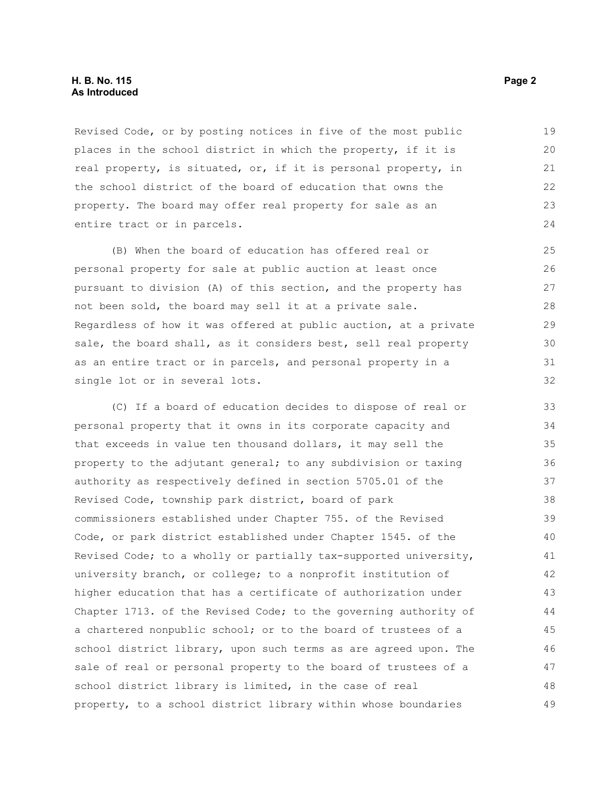#### **H. B. No. 115** Page 2 **As Introduced**

Revised Code, or by posting notices in five of the most public places in the school district in which the property, if it is real property, is situated, or, if it is personal property, in the school district of the board of education that owns the property. The board may offer real property for sale as an entire tract or in parcels.

(B) When the board of education has offered real or personal property for sale at public auction at least once pursuant to division (A) of this section, and the property has not been sold, the board may sell it at a private sale. Regardless of how it was offered at public auction, at a private sale, the board shall, as it considers best, sell real property as an entire tract or in parcels, and personal property in a single lot or in several lots.

(C) If a board of education decides to dispose of real or personal property that it owns in its corporate capacity and that exceeds in value ten thousand dollars, it may sell the property to the adjutant general; to any subdivision or taxing authority as respectively defined in section 5705.01 of the Revised Code, township park district, board of park commissioners established under Chapter 755. of the Revised Code, or park district established under Chapter 1545. of the Revised Code; to a wholly or partially tax-supported university, university branch, or college; to a nonprofit institution of higher education that has a certificate of authorization under Chapter 1713. of the Revised Code; to the governing authority of a chartered nonpublic school; or to the board of trustees of a school district library, upon such terms as are agreed upon. The sale of real or personal property to the board of trustees of a school district library is limited, in the case of real property, to a school district library within whose boundaries 33 34 35 36 37 38 39 40 41 42 43 44 45 46 47 48 49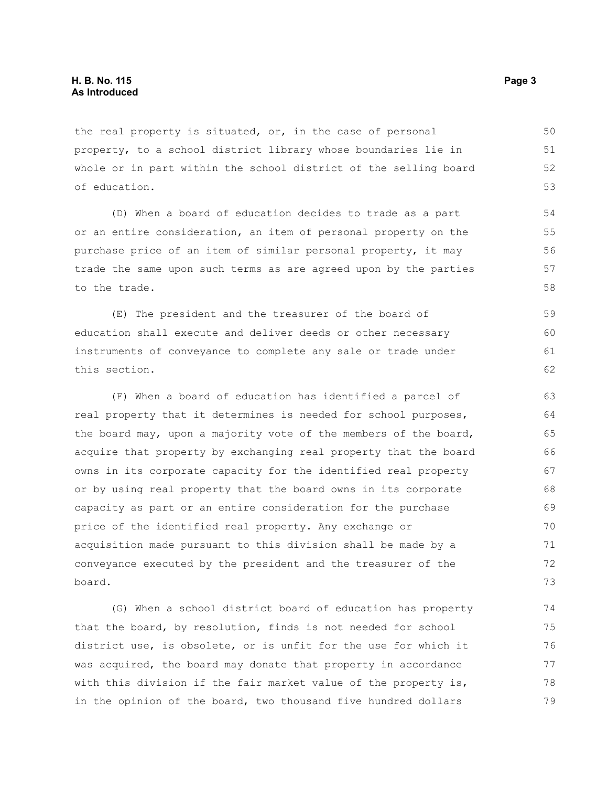the real property is situated, or, in the case of personal property, to a school district library whose boundaries lie in whole or in part within the school district of the selling board of education.

(D) When a board of education decides to trade as a part or an entire consideration, an item of personal property on the purchase price of an item of similar personal property, it may trade the same upon such terms as are agreed upon by the parties to the trade.

(E) The president and the treasurer of the board of education shall execute and deliver deeds or other necessary instruments of conveyance to complete any sale or trade under this section. 59 60 61 62

(F) When a board of education has identified a parcel of real property that it determines is needed for school purposes, the board may, upon a majority vote of the members of the board, acquire that property by exchanging real property that the board owns in its corporate capacity for the identified real property or by using real property that the board owns in its corporate capacity as part or an entire consideration for the purchase price of the identified real property. Any exchange or acquisition made pursuant to this division shall be made by a conveyance executed by the president and the treasurer of the board. 63 64 65 66 67 68 69 70 71 72 73

(G) When a school district board of education has property that the board, by resolution, finds is not needed for school district use, is obsolete, or is unfit for the use for which it was acquired, the board may donate that property in accordance with this division if the fair market value of the property is, in the opinion of the board, two thousand five hundred dollars 74 75 76 77 78 79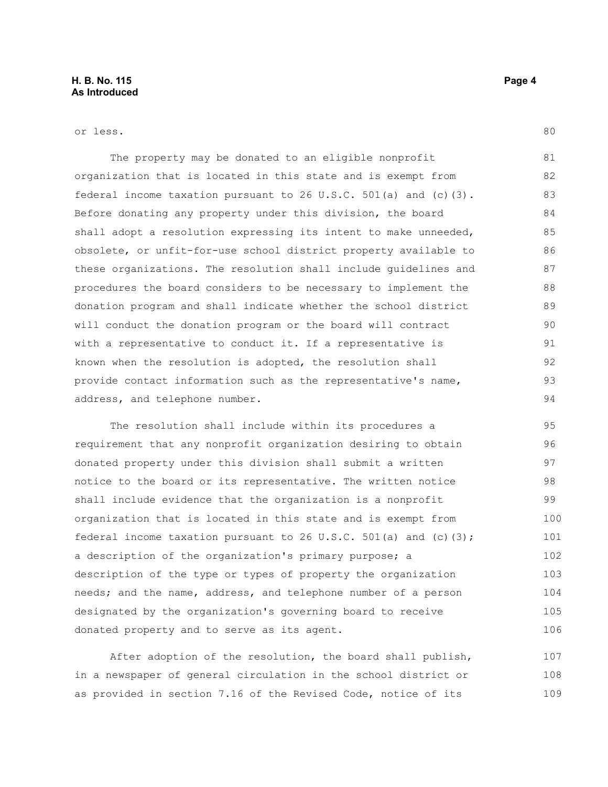or less.

The property may be donated to an eligible nonprofit organization that is located in this state and is exempt from federal income taxation pursuant to 26 U.S.C. 501(a) and (c)(3). Before donating any property under this division, the board shall adopt a resolution expressing its intent to make unneeded, obsolete, or unfit-for-use school district property available to these organizations. The resolution shall include guidelines and procedures the board considers to be necessary to implement the donation program and shall indicate whether the school district will conduct the donation program or the board will contract with a representative to conduct it. If a representative is known when the resolution is adopted, the resolution shall provide contact information such as the representative's name, address, and telephone number. 81 82 83 84 85 86 87 88 89 90 91 92 93 94

The resolution shall include within its procedures a requirement that any nonprofit organization desiring to obtain donated property under this division shall submit a written notice to the board or its representative. The written notice shall include evidence that the organization is a nonprofit organization that is located in this state and is exempt from federal income taxation pursuant to 26 U.S.C. 501(a) and (c)(3); a description of the organization's primary purpose; a description of the type or types of property the organization needs; and the name, address, and telephone number of a person designated by the organization's governing board to receive donated property and to serve as its agent. 95 96 97 98 99 100 101 102 103 104 105 106

After adoption of the resolution, the board shall publish, in a newspaper of general circulation in the school district or as provided in section 7.16 of the Revised Code, notice of its 107 108 109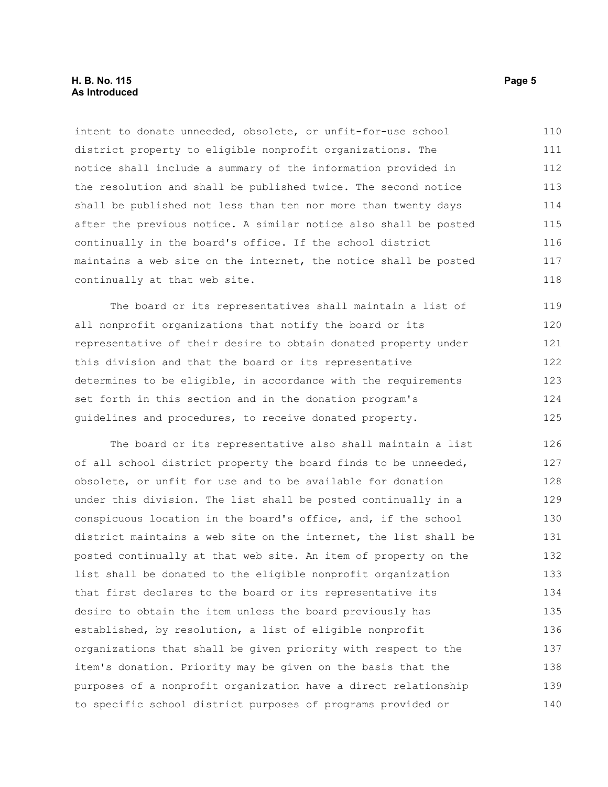#### **H. B. No. 115** Page 5 **As Introduced**

intent to donate unneeded, obsolete, or unfit-for-use school district property to eligible nonprofit organizations. The notice shall include a summary of the information provided in the resolution and shall be published twice. The second notice shall be published not less than ten nor more than twenty days after the previous notice. A similar notice also shall be posted continually in the board's office. If the school district maintains a web site on the internet, the notice shall be posted continually at that web site. 110 111 112 113 114 115 116 117 118

The board or its representatives shall maintain a list of all nonprofit organizations that notify the board or its representative of their desire to obtain donated property under this division and that the board or its representative determines to be eligible, in accordance with the requirements set forth in this section and in the donation program's guidelines and procedures, to receive donated property. 119 120 121 122 123 124 125

The board or its representative also shall maintain a list of all school district property the board finds to be unneeded, obsolete, or unfit for use and to be available for donation under this division. The list shall be posted continually in a conspicuous location in the board's office, and, if the school district maintains a web site on the internet, the list shall be posted continually at that web site. An item of property on the list shall be donated to the eligible nonprofit organization that first declares to the board or its representative its desire to obtain the item unless the board previously has established, by resolution, a list of eligible nonprofit organizations that shall be given priority with respect to the item's donation. Priority may be given on the basis that the purposes of a nonprofit organization have a direct relationship to specific school district purposes of programs provided or 126 127 128 129 130 131 132 133 134 135 136 137 138 139 140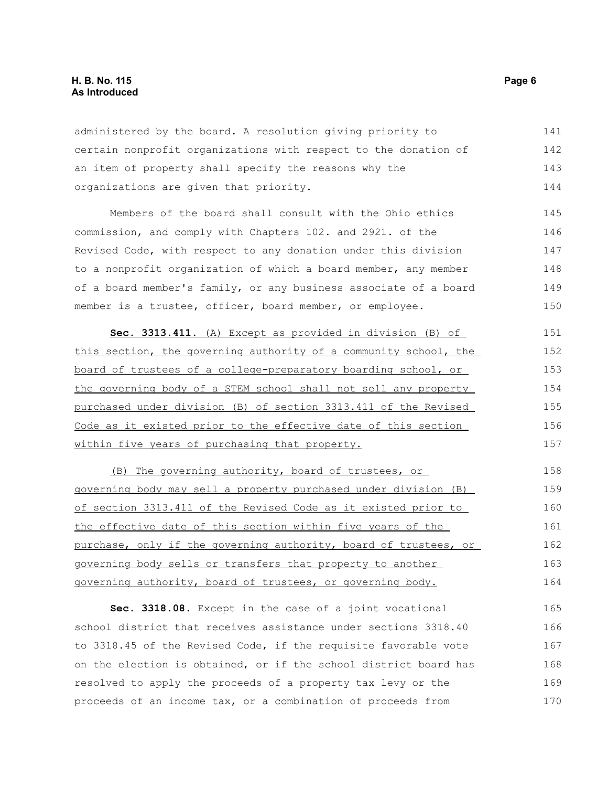#### **H. B. No. 115** Page 6 **As Introduced**

administered by the board. A resolution giving priority to certain nonprofit organizations with respect to the donation of an item of property shall specify the reasons why the organizations are given that priority. 141 142 143 144

Members of the board shall consult with the Ohio ethics commission, and comply with Chapters 102. and 2921. of the Revised Code, with respect to any donation under this division to a nonprofit organization of which a board member, any member of a board member's family, or any business associate of a board member is a trustee, officer, board member, or employee. 145 146 147 148 149 150

 **Sec. 3313.411.** (A) Except as provided in division (B) of this section, the governing authority of a community school, the board of trustees of a college-preparatory boarding school, or the governing body of a STEM school shall not sell any property purchased under division (B) of section 3313.411 of the Revised Code as it existed prior to the effective date of this section within five years of purchasing that property. 151 152 153 154 155 156 157

(B) The governing authority, board of trustees, or governing body may sell a property purchased under division (B) of section 3313.411 of the Revised Code as it existed prior to the effective date of this section within five years of the purchase, only if the governing authority, board of trustees, or governing body sells or transfers that property to another governing authority, board of trustees, or governing body. 158 159 160 161 162 163 164

**Sec. 3318.08.** Except in the case of a joint vocational school district that receives assistance under sections 3318.40 to 3318.45 of the Revised Code, if the requisite favorable vote on the election is obtained, or if the school district board has resolved to apply the proceeds of a property tax levy or the proceeds of an income tax, or a combination of proceeds from 165 166 167 168 169 170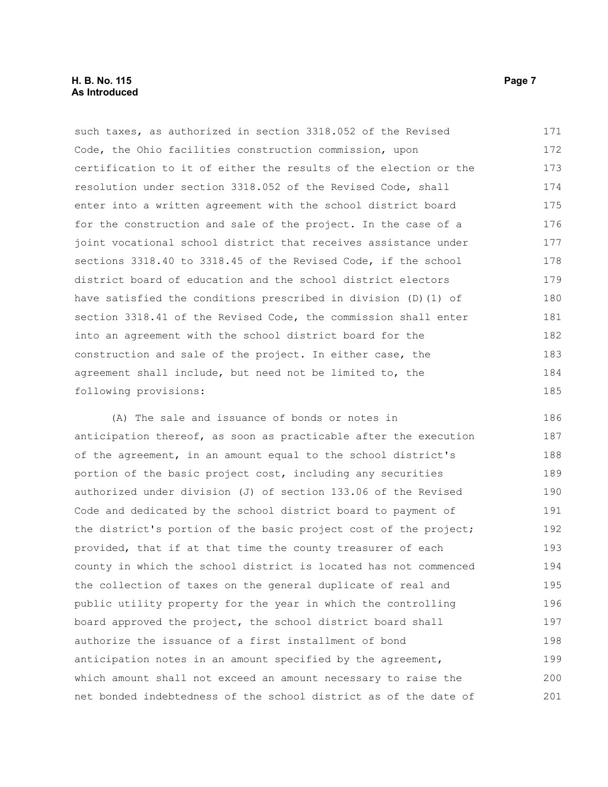#### **H. B. No. 115** Page 7 **As Introduced**

such taxes, as authorized in section 3318.052 of the Revised Code, the Ohio facilities construction commission, upon certification to it of either the results of the election or the resolution under section 3318.052 of the Revised Code, shall enter into a written agreement with the school district board for the construction and sale of the project. In the case of a joint vocational school district that receives assistance under sections 3318.40 to 3318.45 of the Revised Code, if the school district board of education and the school district electors have satisfied the conditions prescribed in division (D)(1) of section 3318.41 of the Revised Code, the commission shall enter into an agreement with the school district board for the construction and sale of the project. In either case, the agreement shall include, but need not be limited to, the following provisions: 171 172 173 174 175 176 177 178 179 180 181 182 183 184 185

(A) The sale and issuance of bonds or notes in anticipation thereof, as soon as practicable after the execution of the agreement, in an amount equal to the school district's portion of the basic project cost, including any securities authorized under division (J) of section 133.06 of the Revised Code and dedicated by the school district board to payment of the district's portion of the basic project cost of the project; provided, that if at that time the county treasurer of each county in which the school district is located has not commenced the collection of taxes on the general duplicate of real and public utility property for the year in which the controlling board approved the project, the school district board shall authorize the issuance of a first installment of bond anticipation notes in an amount specified by the agreement, which amount shall not exceed an amount necessary to raise the net bonded indebtedness of the school district as of the date of 186 187 188 189 190 191 192 193 194 195 196 197 198 199 200 201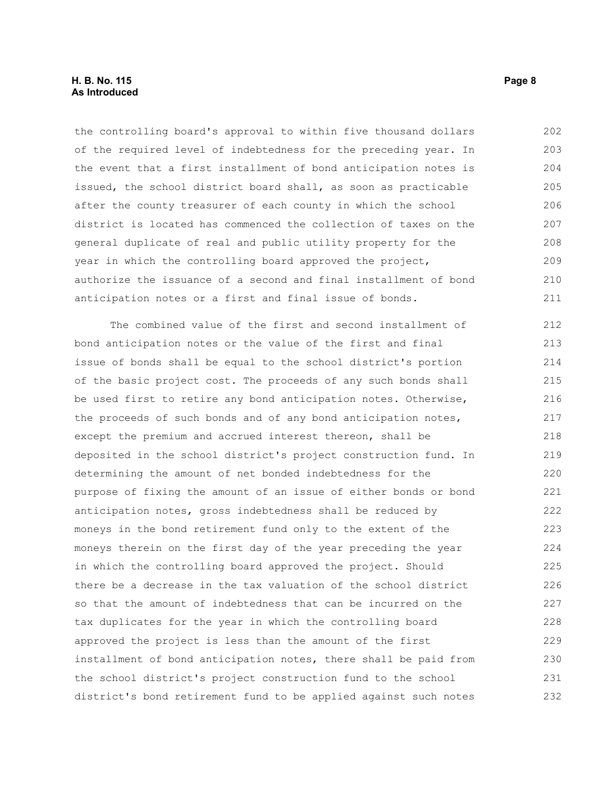#### **H. B. No. 115** Page 8 **As Introduced**

the controlling board's approval to within five thousand dollars of the required level of indebtedness for the preceding year. In the event that a first installment of bond anticipation notes is issued, the school district board shall, as soon as practicable after the county treasurer of each county in which the school district is located has commenced the collection of taxes on the general duplicate of real and public utility property for the year in which the controlling board approved the project, authorize the issuance of a second and final installment of bond anticipation notes or a first and final issue of bonds. 202 203 204 205 206 207 208 209 210 211

The combined value of the first and second installment of bond anticipation notes or the value of the first and final issue of bonds shall be equal to the school district's portion of the basic project cost. The proceeds of any such bonds shall be used first to retire any bond anticipation notes. Otherwise, the proceeds of such bonds and of any bond anticipation notes, except the premium and accrued interest thereon, shall be deposited in the school district's project construction fund. In determining the amount of net bonded indebtedness for the purpose of fixing the amount of an issue of either bonds or bond anticipation notes, gross indebtedness shall be reduced by moneys in the bond retirement fund only to the extent of the moneys therein on the first day of the year preceding the year in which the controlling board approved the project. Should there be a decrease in the tax valuation of the school district so that the amount of indebtedness that can be incurred on the tax duplicates for the year in which the controlling board approved the project is less than the amount of the first installment of bond anticipation notes, there shall be paid from the school district's project construction fund to the school district's bond retirement fund to be applied against such notes 212 213 214 215 216 217 218 219 220 221 222 223 224 225 226 227 228 229 230 231 232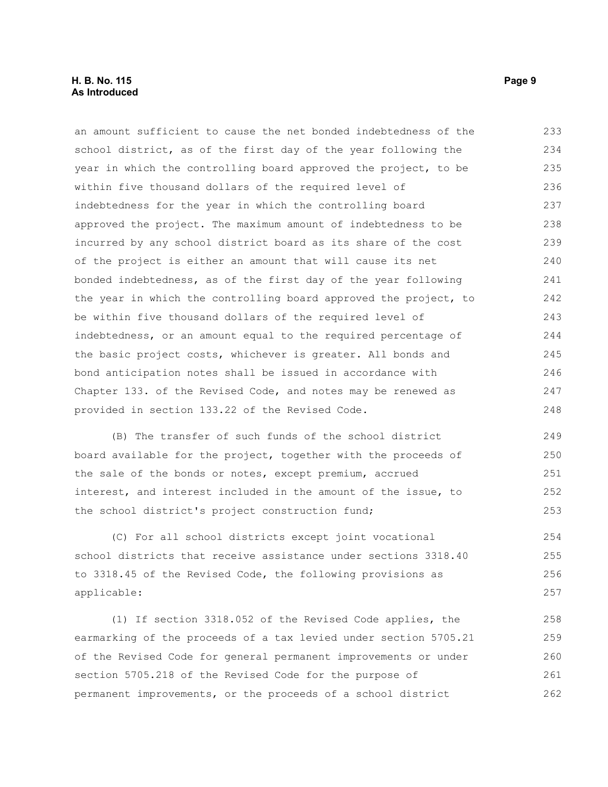#### **H. B. No. 115** Page 9 **As Introduced**

an amount sufficient to cause the net bonded indebtedness of the school district, as of the first day of the year following the year in which the controlling board approved the project, to be within five thousand dollars of the required level of indebtedness for the year in which the controlling board approved the project. The maximum amount of indebtedness to be incurred by any school district board as its share of the cost of the project is either an amount that will cause its net bonded indebtedness, as of the first day of the year following the year in which the controlling board approved the project, to be within five thousand dollars of the required level of indebtedness, or an amount equal to the required percentage of the basic project costs, whichever is greater. All bonds and bond anticipation notes shall be issued in accordance with Chapter 133. of the Revised Code, and notes may be renewed as provided in section 133.22 of the Revised Code. 233 234 235 236 237 238 239 240 241 242 243 244 245 246 247 248

(B) The transfer of such funds of the school district board available for the project, together with the proceeds of the sale of the bonds or notes, except premium, accrued interest, and interest included in the amount of the issue, to the school district's project construction fund; 249 250 251 252 253

(C) For all school districts except joint vocational school districts that receive assistance under sections 3318.40 to 3318.45 of the Revised Code, the following provisions as applicable: 254 255 256 257

(1) If section 3318.052 of the Revised Code applies, the earmarking of the proceeds of a tax levied under section 5705.21 of the Revised Code for general permanent improvements or under section 5705.218 of the Revised Code for the purpose of permanent improvements, or the proceeds of a school district 258 259 260 261 262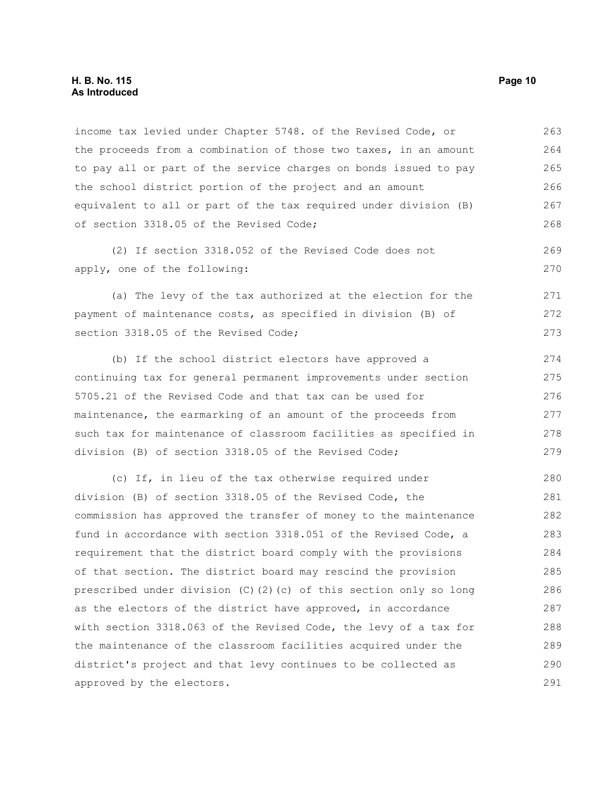#### **H. B. No. 115 Page 10 As Introduced**

income tax levied under Chapter 5748. of the Revised Code, or the proceeds from a combination of those two taxes, in an amount to pay all or part of the service charges on bonds issued to pay the school district portion of the project and an amount equivalent to all or part of the tax required under division (B) of section 3318.05 of the Revised Code; 263 264 265 266 267 268

(2) If section 3318.052 of the Revised Code does not apply, one of the following:

(a) The levy of the tax authorized at the election for the payment of maintenance costs, as specified in division (B) of section 3318.05 of the Revised Code; 271 272 273

(b) If the school district electors have approved a continuing tax for general permanent improvements under section 5705.21 of the Revised Code and that tax can be used for maintenance, the earmarking of an amount of the proceeds from such tax for maintenance of classroom facilities as specified in division (B) of section 3318.05 of the Revised Code;

(c) If, in lieu of the tax otherwise required under division (B) of section 3318.05 of the Revised Code, the commission has approved the transfer of money to the maintenance fund in accordance with section 3318.051 of the Revised Code, a requirement that the district board comply with the provisions of that section. The district board may rescind the provision prescribed under division (C)(2)(c) of this section only so long as the electors of the district have approved, in accordance with section 3318.063 of the Revised Code, the levy of a tax for the maintenance of the classroom facilities acquired under the district's project and that levy continues to be collected as approved by the electors. 280 281 282 283 284 285 286 287 288 289 290 291

269 270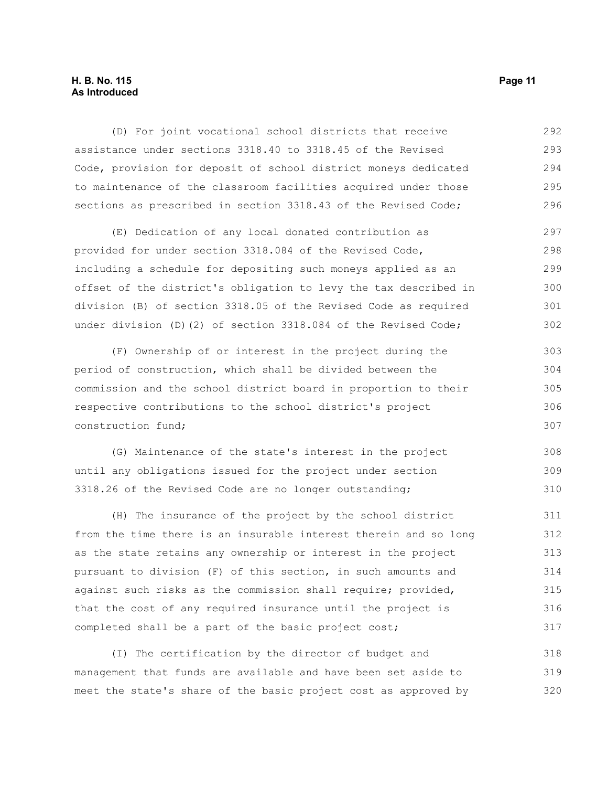#### **H. B. No. 115 Page 11 As Introduced**

(D) For joint vocational school districts that receive assistance under sections 3318.40 to 3318.45 of the Revised Code, provision for deposit of school district moneys dedicated to maintenance of the classroom facilities acquired under those sections as prescribed in section 3318.43 of the Revised Code; 292 293 294 295 296

(E) Dedication of any local donated contribution as provided for under section 3318.084 of the Revised Code, including a schedule for depositing such moneys applied as an offset of the district's obligation to levy the tax described in division (B) of section 3318.05 of the Revised Code as required under division (D)(2) of section 3318.084 of the Revised Code; 297 298 299 300 301 302

(F) Ownership of or interest in the project during the period of construction, which shall be divided between the commission and the school district board in proportion to their respective contributions to the school district's project construction fund; 303 304 305 306 307

(G) Maintenance of the state's interest in the project until any obligations issued for the project under section 3318.26 of the Revised Code are no longer outstanding; 308 309 310

(H) The insurance of the project by the school district from the time there is an insurable interest therein and so long as the state retains any ownership or interest in the project pursuant to division (F) of this section, in such amounts and against such risks as the commission shall require; provided, that the cost of any required insurance until the project is completed shall be a part of the basic project cost; 311 312 313 314 315 316 317

(I) The certification by the director of budget and management that funds are available and have been set aside to meet the state's share of the basic project cost as approved by 318 319 320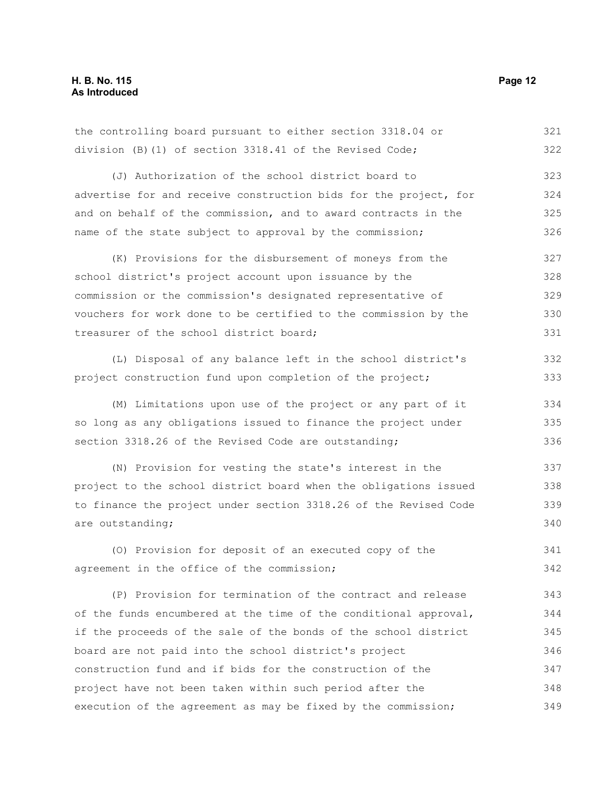the controlling board pursuant to either section 3318.04 or division (B)(1) of section 3318.41 of the Revised Code; 321 322

(J) Authorization of the school district board to advertise for and receive construction bids for the project, for and on behalf of the commission, and to award contracts in the name of the state subject to approval by the commission; 323 324 325 326

(K) Provisions for the disbursement of moneys from the school district's project account upon issuance by the commission or the commission's designated representative of vouchers for work done to be certified to the commission by the treasurer of the school district board; 327 328 329 330 331

(L) Disposal of any balance left in the school district's project construction fund upon completion of the project;

(M) Limitations upon use of the project or any part of it so long as any obligations issued to finance the project under section 3318.26 of the Revised Code are outstanding; 334 335 336

(N) Provision for vesting the state's interest in the project to the school district board when the obligations issued to finance the project under section 3318.26 of the Revised Code are outstanding; 337 338 339 340

(O) Provision for deposit of an executed copy of the agreement in the office of the commission; 341 342

(P) Provision for termination of the contract and release of the funds encumbered at the time of the conditional approval, if the proceeds of the sale of the bonds of the school district board are not paid into the school district's project construction fund and if bids for the construction of the project have not been taken within such period after the execution of the agreement as may be fixed by the commission; 343 344 345 346 347 348 349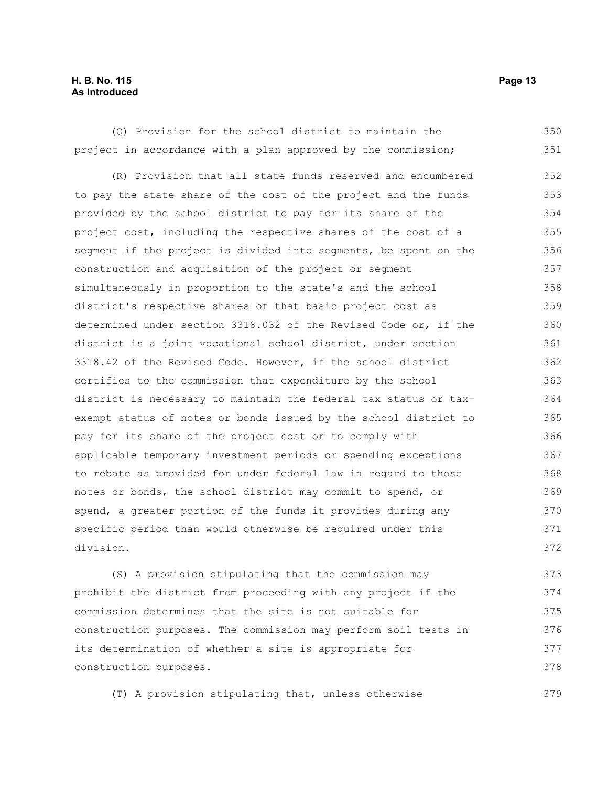#### **H. B. No. 115 Page 13 As Introduced**

(Q) Provision for the school district to maintain the project in accordance with a plan approved by the commission; 350 351

(R) Provision that all state funds reserved and encumbered to pay the state share of the cost of the project and the funds provided by the school district to pay for its share of the project cost, including the respective shares of the cost of a segment if the project is divided into segments, be spent on the construction and acquisition of the project or segment simultaneously in proportion to the state's and the school district's respective shares of that basic project cost as determined under section 3318.032 of the Revised Code or, if the district is a joint vocational school district, under section 3318.42 of the Revised Code. However, if the school district certifies to the commission that expenditure by the school district is necessary to maintain the federal tax status or taxexempt status of notes or bonds issued by the school district to pay for its share of the project cost or to comply with applicable temporary investment periods or spending exceptions to rebate as provided for under federal law in regard to those notes or bonds, the school district may commit to spend, or spend, a greater portion of the funds it provides during any specific period than would otherwise be required under this division. 352 353 354 355 356 357 358 359 360 361 362 363 364 365 366 367 368 369 370 371 372

(S) A provision stipulating that the commission may prohibit the district from proceeding with any project if the commission determines that the site is not suitable for construction purposes. The commission may perform soil tests in its determination of whether a site is appropriate for construction purposes. 373 374 375 376 377 378

(T) A provision stipulating that, unless otherwise 379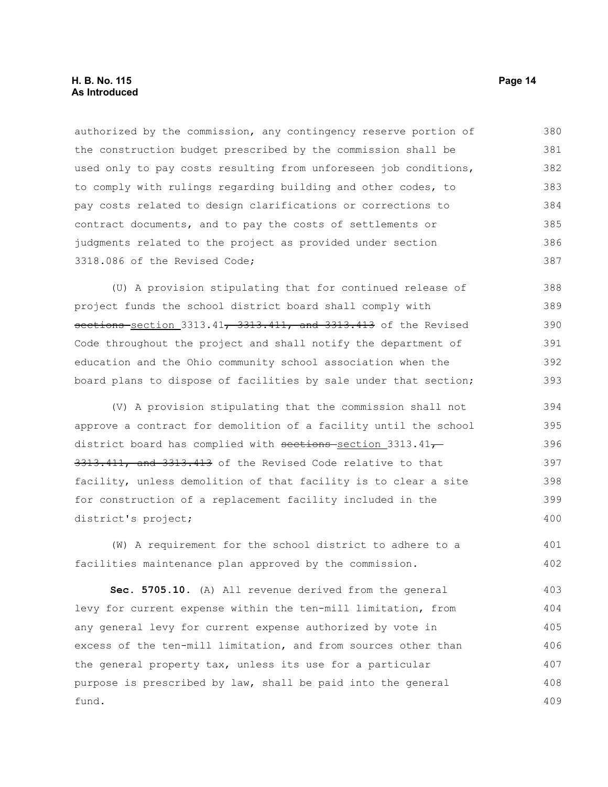authorized by the commission, any contingency reserve portion of the construction budget prescribed by the commission shall be used only to pay costs resulting from unforeseen job conditions, to comply with rulings regarding building and other codes, to pay costs related to design clarifications or corrections to contract documents, and to pay the costs of settlements or judgments related to the project as provided under section 3318.086 of the Revised Code; 380 381 382 383 384 385 386 387

(U) A provision stipulating that for continued release of project funds the school district board shall comply with sections section 3313.41, 3313.411, and 3313.413 of the Revised Code throughout the project and shall notify the department of education and the Ohio community school association when the board plans to dispose of facilities by sale under that section; 388 389 390 391 392 393

(V) A provision stipulating that the commission shall not approve a contract for demolition of a facility until the school district board has complied with sections-section 3313.41 $\tau$ 3313.411, and 3313.413 of the Revised Code relative to that facility, unless demolition of that facility is to clear a site for construction of a replacement facility included in the district's project; 394 395 396 397 398 399 400

(W) A requirement for the school district to adhere to a facilities maintenance plan approved by the commission. 401 402

**Sec. 5705.10.** (A) All revenue derived from the general levy for current expense within the ten-mill limitation, from any general levy for current expense authorized by vote in excess of the ten-mill limitation, and from sources other than the general property tax, unless its use for a particular purpose is prescribed by law, shall be paid into the general fund. 403 404 405 406 407 408 409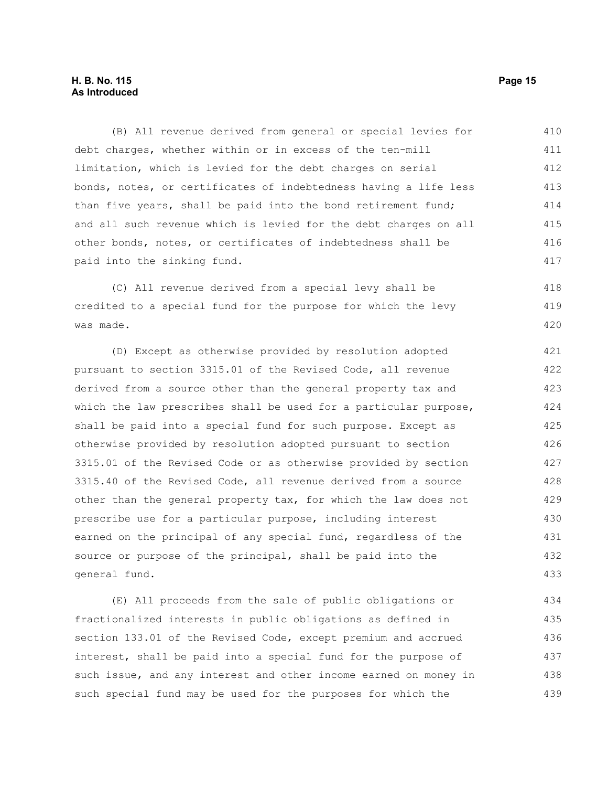#### **H. B. No. 115 Page 15 As Introduced**

(B) All revenue derived from general or special levies for debt charges, whether within or in excess of the ten-mill limitation, which is levied for the debt charges on serial bonds, notes, or certificates of indebtedness having a life less than five years, shall be paid into the bond retirement fund; and all such revenue which is levied for the debt charges on all other bonds, notes, or certificates of indebtedness shall be paid into the sinking fund. 410 411 412 413 414 415 416 417

(C) All revenue derived from a special levy shall be credited to a special fund for the purpose for which the levy was made. 418 419 420

(D) Except as otherwise provided by resolution adopted pursuant to section 3315.01 of the Revised Code, all revenue derived from a source other than the general property tax and which the law prescribes shall be used for a particular purpose, shall be paid into a special fund for such purpose. Except as otherwise provided by resolution adopted pursuant to section 3315.01 of the Revised Code or as otherwise provided by section 3315.40 of the Revised Code, all revenue derived from a source other than the general property tax, for which the law does not prescribe use for a particular purpose, including interest earned on the principal of any special fund, regardless of the source or purpose of the principal, shall be paid into the general fund. 421 422 423 424 425 426 427 428 429 430 431 432 433

(E) All proceeds from the sale of public obligations or fractionalized interests in public obligations as defined in section 133.01 of the Revised Code, except premium and accrued interest, shall be paid into a special fund for the purpose of such issue, and any interest and other income earned on money in such special fund may be used for the purposes for which the 434 435 436 437 438 439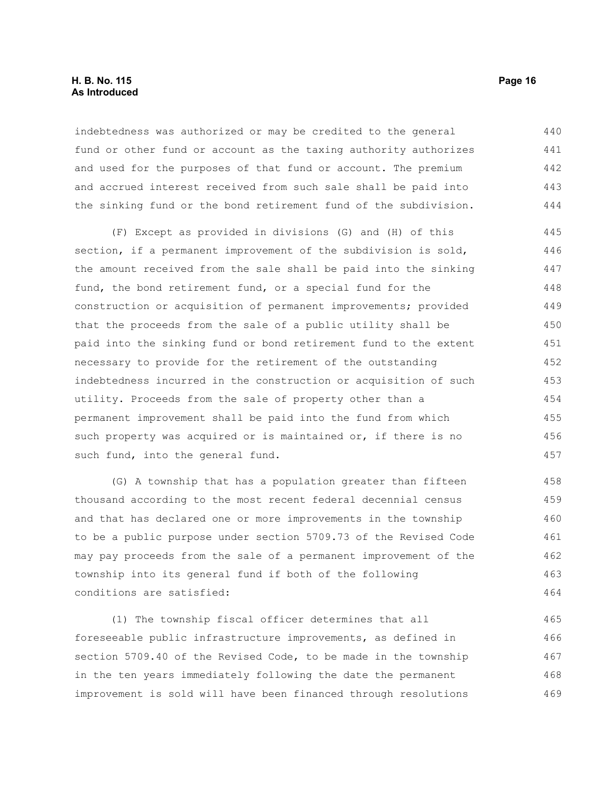#### **H. B. No. 115 Page 16 As Introduced**

indebtedness was authorized or may be credited to the general fund or other fund or account as the taxing authority authorizes and used for the purposes of that fund or account. The premium and accrued interest received from such sale shall be paid into the sinking fund or the bond retirement fund of the subdivision. 440 441 442 443 444

(F) Except as provided in divisions (G) and (H) of this section, if a permanent improvement of the subdivision is sold, the amount received from the sale shall be paid into the sinking fund, the bond retirement fund, or a special fund for the construction or acquisition of permanent improvements; provided that the proceeds from the sale of a public utility shall be paid into the sinking fund or bond retirement fund to the extent necessary to provide for the retirement of the outstanding indebtedness incurred in the construction or acquisition of such utility. Proceeds from the sale of property other than a permanent improvement shall be paid into the fund from which such property was acquired or is maintained or, if there is no such fund, into the general fund. 445 446 447 448 449 450 451 452 453 454 455 456 457

(G) A township that has a population greater than fifteen thousand according to the most recent federal decennial census and that has declared one or more improvements in the township to be a public purpose under section 5709.73 of the Revised Code may pay proceeds from the sale of a permanent improvement of the township into its general fund if both of the following conditions are satisfied: 458 459 460 461 462 463 464

(1) The township fiscal officer determines that all foreseeable public infrastructure improvements, as defined in section 5709.40 of the Revised Code, to be made in the township in the ten years immediately following the date the permanent improvement is sold will have been financed through resolutions 465 466 467 468 469